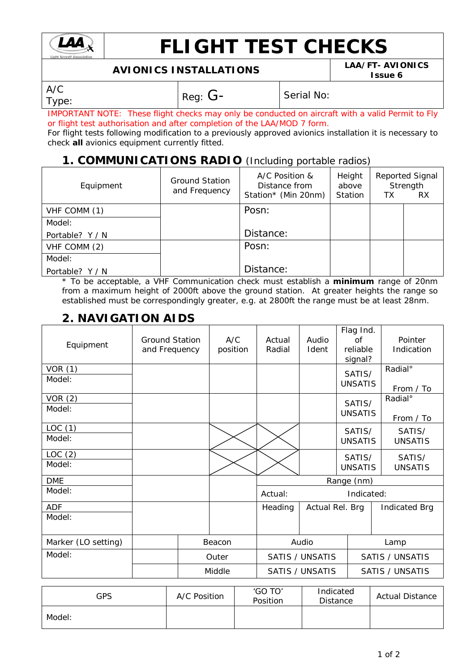

# **FLIGHT TEST CHECKS**

# **AVIONICS INSTALLATIONS LAA/FT- AVIONICS**

**Issue 6**

A/C

 $T_{\text{YPE}}$ :  $\begin{array}{|c|c|c|}\n\hline\n\text{Reg: G-} & \text{Serial No:}\n\end{array}$ 

IMPORTANT NOTE: These flight checks may only be conducted on aircraft with a valid Permit to Fly or flight test authorisation and after completion of the LAA/MOD 7 form.

For flight tests following modification to a previously approved avionics installation it is necessary to check *all* avionics equipment currently fitted.

#### **1. COMMUNICATIONS RADIO** (Including portable radios)

| Equipment       | Ground Station<br>and Frequency | A/C Position &<br>Distance from<br>Station* (Min 20nm) | Height<br>above<br>Station | TХ | <b>Reported Signal</b><br>Strength<br><b>RX</b> |
|-----------------|---------------------------------|--------------------------------------------------------|----------------------------|----|-------------------------------------------------|
| VHF COMM (1)    |                                 | Posn:                                                  |                            |    |                                                 |
| Model:          |                                 |                                                        |                            |    |                                                 |
| Portable? Y / N |                                 | Distance:                                              |                            |    |                                                 |
| VHF COMM (2)    |                                 | Posn:                                                  |                            |    |                                                 |
| Model:          |                                 |                                                        |                            |    |                                                 |
| Portable? Y / N |                                 | Distance:                                              |                            |    |                                                 |

\* To be acceptable, a VHF Communication check must establish a **minimum** range of 20nm from a maximum height of 2000ft above the ground station. At greater heights the range so established must be correspondingly greater, e.g. at 2800ft the range must be at least 28nm.

### **2. NAVIGATION AIDS**

| Equipment           | <b>Ground Station</b><br>and Frequency | A/C<br>position | Actual<br>Radial                                 | Audio<br>Ident         | Flag Ind.<br><b>of</b><br>reliable<br>signal? | Pointer<br>Indication |
|---------------------|----------------------------------------|-----------------|--------------------------------------------------|------------------------|-----------------------------------------------|-----------------------|
| VOR(1)              |                                        |                 |                                                  |                        | SATIS/                                        | Radial <sup>°</sup>   |
| Model:              |                                        |                 |                                                  |                        | <b>UNSATIS</b>                                | From / To             |
| VOR(2)              |                                        |                 |                                                  |                        | SATIS/                                        | Radial <sup>°</sup>   |
| Model:              |                                        |                 |                                                  |                        | <b>UNSATIS</b>                                | From / To             |
| LOC(1)              |                                        |                 |                                                  |                        | SATIS/                                        | SATIS/                |
| Model:              |                                        |                 |                                                  |                        | <b>UNSATIS</b>                                | <b>UNSATIS</b>        |
| LOC(2)              |                                        |                 |                                                  |                        | SATIS/                                        | SATIS/                |
| Model:              |                                        |                 |                                                  |                        | <b>UNSATIS</b>                                | <b>UNSATIS</b>        |
| <b>DME</b>          |                                        |                 | Range (nm)                                       |                        |                                               |                       |
| Model:              |                                        |                 | Indicated:<br>Actual:                            |                        |                                               |                       |
| <b>ADF</b>          |                                        |                 | Heading                                          | Actual Rel. Brg        |                                               | <b>Indicated Brg</b>  |
| Model:              |                                        |                 |                                                  |                        |                                               |                       |
| Marker (LO setting) |                                        | Beacon          | Audio<br>Lamp                                    |                        |                                               |                       |
| Model:              |                                        | Outer           | <b>SATIS / UNSATIS</b><br><b>SATIS / UNSATIS</b> |                        |                                               |                       |
|                     |                                        | Middle          |                                                  | <b>SATIS / UNSATIS</b> |                                               | SATIS / UNSATIS       |

| GPS    | A/C Position | 'GO TO'<br>Position | Indicated<br><b>Distance</b> | <b>Actual Distance</b> |
|--------|--------------|---------------------|------------------------------|------------------------|
| Model: |              |                     |                              |                        |